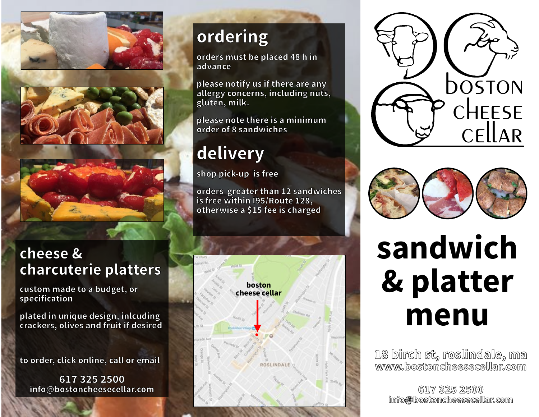

#### cheese & charcuterie platters

custom made to <sup>a</sup> budget, or specification

plated in unique design, inlcuding crackers, olives and fruit if desired

to order, click online, call or email

617 325 2500 info@bostoncheesecellar.com

### ordering

orders must be placed 48 h in advance

please notify us if there are any allergy concerns, including nuts, gluten, milk.

please note there is <sup>a</sup> minimum order of 8 sandwiches

### delivery

shop pick-up is free

orders greater than <sup>12</sup> sandwiches is free within I95/Route 128, otherwise <sup>a</sup> \$15 fee is charged







## sandwich & platter menu

18 birch st, roslindale, ma www.bostoncheesecellar.com

617 325 2500 info@bostoncheesecellar.com